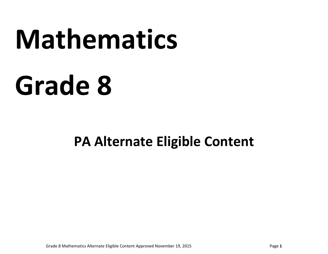# **Mathematics**

# **Grade 8**

# **PA Alternate Eligible Content**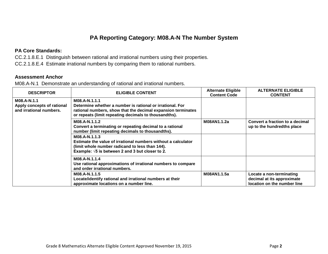# **PA Reporting Category: M08.A-N The Number System**

#### **PA Core Standards:**

CC.2.1.8.E.1 Distinguish between rational and irrational numbers using their properties. CC.2.1.8.E.4 Estimate irrational numbers by comparing them to rational numbers.

#### **Assessment Anchor**

M08.A-N.1 Demonstrate an understanding of rational and irrational numbers.

| <b>DESCRIPTOR</b>                                                    | <b>ELIGIBLE CONTENT</b>                                                                                                                                                                             | <b>Alternate Eligible</b><br><b>Content Code</b> | <b>ALTERNATE ELIGIBLE</b><br><b>CONTENT</b>                                           |
|----------------------------------------------------------------------|-----------------------------------------------------------------------------------------------------------------------------------------------------------------------------------------------------|--------------------------------------------------|---------------------------------------------------------------------------------------|
| M08.A-N.1.1<br>Apply concepts of rational<br>and irrational numbers. | M08.A-N.1.1.1<br>Determine whether a number is rational or irrational. For<br>rational numbers, show that the decimal expansion terminates<br>or repeats (limit repeating decimals to thousandths). |                                                  |                                                                                       |
|                                                                      | M08.A-N.1.1.2<br>Convert a terminating or repeating decimal to a rational<br>number (limit repeating decimals to thousandths).                                                                      | M08AN1.1.2a                                      | Convert a fraction to a decimal<br>up to the hundredths place                         |
|                                                                      | M08.A-N.1.1.3<br>Estimate the value of irrational numbers without a calculator<br>(limit whole number radicand to less than 144).<br>Example: $\sqrt{5}$ is between 2 and 3 but closer to 2.        |                                                  |                                                                                       |
|                                                                      | M08.A-N.1.1.4<br>Use rational approximations of irrational numbers to compare<br>and order irrational numbers.                                                                                      |                                                  |                                                                                       |
|                                                                      | M08.A-N.1.1.5<br>Locate/identify rational and irrational numbers at their<br>approximate locations on a number line.                                                                                | M08AN1.1.5a                                      | Locate a non-terminating<br>decimal at its approximate<br>location on the number line |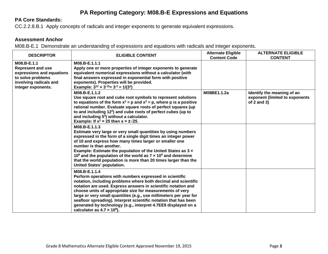# **PA Reporting Category: M08.B-E Expressions and Equations**

# **PA Core Standards:**

CC.2.2.8.B.1 Apply concepts of radicals and integer exponents to generate equivalent expressions.

# **Assessment Anchor**

M08.B-E.1 Demonstrate an understanding of expressions and equations with radicals and integer exponents.

| <b>DESCRIPTOR</b>                                                                                                                         | <b>ELIGIBLE CONTENT</b>                                                                                                                                                                                                                                                                                                                                                                                                                                                                                                    | <b>Alternate Eligible</b><br><b>Content Code</b> | <b>ALTERNATE ELIGIBLE</b><br><b>CONTENT</b>                                     |
|-------------------------------------------------------------------------------------------------------------------------------------------|----------------------------------------------------------------------------------------------------------------------------------------------------------------------------------------------------------------------------------------------------------------------------------------------------------------------------------------------------------------------------------------------------------------------------------------------------------------------------------------------------------------------------|--------------------------------------------------|---------------------------------------------------------------------------------|
| M08.B-E.1.1<br><b>Represent and use</b><br>expressions and equations<br>to solve problems<br>involving radicals and<br>integer exponents. | M08.B-E.1.1.1<br>Apply one or more properties of integer exponents to generate<br>equivalent numerical expressions without a calculator (with<br>final answers expressed in exponential form with positive<br>exponents). Properties will be provided.<br>Example: $3^{12} \times 3^{-15} = 3^{-3} = 1/(3^3)$                                                                                                                                                                                                              |                                                  |                                                                                 |
|                                                                                                                                           | M08.B-E.1.1.2<br>Use square root and cube root symbols to represent solutions<br>to equations of the form $x^2 = p$ and $x^3 = p$ , where p is a positive<br>rational number. Evaluate square roots of perfect squares (up<br>to and including 12 <sup>2</sup> ) and cube roots of perfect cubes (up to<br>and including 5 <sup>3</sup> ) without a calculator.<br>Example: If $x^2 = 25$ then $x = \pm \sqrt{25}$ .                                                                                                       | M08BE1.1.2a                                      | Identify the meaning of an<br>exponent (limited to exponents<br>of $2$ and $3)$ |
|                                                                                                                                           | M08.B-E.1.1.3<br>Estimate very large or very small quantities by using numbers<br>expressed in the form of a single digit times an integer power<br>of 10 and express how many times larger or smaller one<br>number is than another.<br>Example: Estimate the population of the United States as 3 x<br>10 <sup>8</sup> and the population of the world as $7 \times 10^9$ and determine<br>that the world population is more than 20 times larger than the<br><b>United States' population.</b>                          |                                                  |                                                                                 |
|                                                                                                                                           | M08.B-E.1.1.4<br>Perform operations with numbers expressed in scientific<br>notation, including problems where both decimal and scientific<br>notation are used. Express answers in scientific notation and<br>choose units of appropriate size for measurements of very<br>large or very small quantities (e.g., use millimeters per year for<br>seafloor spreading). Interpret scientific notation that has been<br>generated by technology (e.g., interpret 4.7EE9 displayed on a<br>calculator as $4.7 \times 10^9$ ). |                                                  |                                                                                 |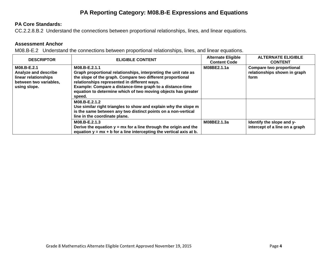# **PA Reporting Category: M08.B-E Expressions and Equations**

## **PA Core Standards:**

CC.2.2.8.B.2 Understand the connections between proportional relationships, lines, and linear equations.

#### **Assessment Anchor**

M08.B-E.2 Understand the connections between proportional relationships, lines, and linear equations.

| <b>DESCRIPTOR</b>                                                                                     | <b>ELIGIBLE CONTENT</b>                                                                                                                                                                                                                                                                                                                | <b>Alternate Eligible</b><br><b>Content Code</b> | <b>ALTERNATE ELIGIBLE</b><br><b>CONTENT</b>                             |
|-------------------------------------------------------------------------------------------------------|----------------------------------------------------------------------------------------------------------------------------------------------------------------------------------------------------------------------------------------------------------------------------------------------------------------------------------------|--------------------------------------------------|-------------------------------------------------------------------------|
| M08.B-E.2.1<br>Analyze and describe<br>linear relationships<br>between two variables,<br>using slope. | M08.B-E.2.1.1<br>Graph proportional relationships, interpreting the unit rate as<br>the slope of the graph. Compare two different proportional<br>relationships represented in different ways.<br>Example: Compare a distance-time graph to a distance-time<br>equation to determine which of two moving objects has greater<br>speed. | M08BE2.1.1a                                      | <b>Compare two proportional</b><br>relationships shown in graph<br>form |
|                                                                                                       | M08.B-E.2.1.2<br>Use similar right triangles to show and explain why the slope m<br>is the same between any two distinct points on a non-vertical<br>line in the coordinate plane.                                                                                                                                                     |                                                  |                                                                         |
|                                                                                                       | M08.B-E.2.1.3<br>Derive the equation $y = mx$ for a line through the origin and the<br>equation $y = mx + b$ for a line intercepting the vertical axis at b.                                                                                                                                                                           | M08BE2.1.3a                                      | Identify the slope and y-<br>intercept of a line on a graph             |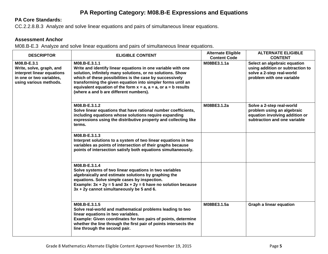# **PA Reporting Category: M08.B-E Expressions and Equations**

# **PA Core Standards:**

CC.2.2.8.B.3 Analyze and solve linear equations and pairs of simultaneous linear equations.

### **Assessment Anchor**

M08.B-E.3 Analyze and solve linear equations and pairs of simultaneous linear equations.

| <b>DESCRIPTOR</b>                                                                                                           | <b>ELIGIBLE CONTENT</b>                                                                                                                                                                                                                                                                                                                                                                    | <b>Alternate Eligible</b><br><b>Content Code</b> | <b>ALTERNATE ELIGIBLE</b><br><b>CONTENT</b>                                                                                |
|-----------------------------------------------------------------------------------------------------------------------------|--------------------------------------------------------------------------------------------------------------------------------------------------------------------------------------------------------------------------------------------------------------------------------------------------------------------------------------------------------------------------------------------|--------------------------------------------------|----------------------------------------------------------------------------------------------------------------------------|
| M08.B-E.3.1<br>Write, solve, graph, and<br>interpret linear equations<br>in one or two variables,<br>using various methods. | M08.B-E.3.1.1<br>Write and identify linear equations in one variable with one<br>solution, infinitely many solutions, or no solutions. Show<br>which of these possibilities is the case by successively<br>transforming the given equation into simpler forms until an<br>equivalent equation of the form $x = a$ , $a = a$ , or $a = b$ results<br>(where a and b are different numbers). | M08BE3.1.1a                                      | Select an algebraic equation<br>using addition or subtraction to<br>solve a 2-step real-world<br>problem with one variable |
|                                                                                                                             | M08.B-E.3.1.2<br>Solve linear equations that have rational number coefficients,<br>including equations whose solutions require expanding<br>expressions using the distributive property and collecting like<br>terms.                                                                                                                                                                      | M08BE3.1.2a                                      | Solve a 2-step real-world<br>problem using an algebraic<br>equation involving addition or<br>subtraction and one variable  |
|                                                                                                                             | M08.B-E.3.1.3<br>Interpret solutions to a system of two linear equations in two<br>variables as points of intersection of their graphs because<br>points of intersection satisfy both equations simultaneously.                                                                                                                                                                            |                                                  |                                                                                                                            |
|                                                                                                                             | M08.B-E.3.1.4<br>Solve systems of two linear equations in two variables<br>algebraically and estimate solutions by graphing the<br>equations. Solve simple cases by inspection.<br>Example: $3x + 2y = 5$ and $3x + 2y = 6$ have no solution because<br>$3x + 2y$ cannot simultaneously be 5 and 6.                                                                                        |                                                  |                                                                                                                            |
|                                                                                                                             | M08.B-E.3.1.5<br>Solve real-world and mathematical problems leading to two<br>linear equations in two variables.<br>Example: Given coordinates for two pairs of points, determine<br>whether the line through the first pair of points intersects the<br>line through the second pair.                                                                                                     | M08BE3.1.5a                                      | <b>Graph a linear equation</b>                                                                                             |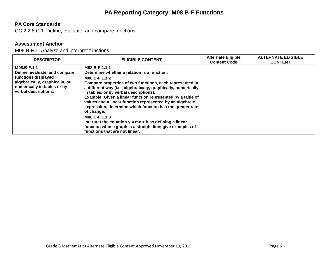# **PA Reporting Category: M08.B-F Functions**

# **PA Core Standards:**

CC.2.2.8.C.1 Define, evaluate, and compare functions.

#### **Assessment Anchor**

M08.B-F.1 Analyze and interpret functions.

| <b>DESCRIPTOR</b>                                                                                                                                            | <b>ELIGIBLE CONTENT</b>                                                                                                                                                                                                                                                                                                                                                                                                                                    | <b>Alternate Eligible</b><br><b>Content Code</b> | <b>ALTERNATE ELIGIBLE</b><br><b>CONTENT</b> |
|--------------------------------------------------------------------------------------------------------------------------------------------------------------|------------------------------------------------------------------------------------------------------------------------------------------------------------------------------------------------------------------------------------------------------------------------------------------------------------------------------------------------------------------------------------------------------------------------------------------------------------|--------------------------------------------------|---------------------------------------------|
| M08.B-F.1.1<br>Define, evaluate, and compare<br>functions displayed<br>algebraically, graphically, or<br>numerically in tables or by<br>verbal descriptions. | M08.B-F.1.1.1<br>Determine whether a relation is a function.<br>M08.B-F.1.1.2<br>Compare properties of two functions, each represented in<br>a different way (i.e., algebraically, graphically, numerically<br>in tables, or by verbal descriptions).<br>Example: Given a linear function represented by a table of<br>values and a linear function represented by an algebraic<br>expression, determine which function has the greater rate<br>of change. |                                                  |                                             |
|                                                                                                                                                              | M08.B-F.1.1.3<br>Interpret the equation $y = mx + b$ as defining a linear<br>function whose graph is a straight line; give examples of<br>functions that are not linear.                                                                                                                                                                                                                                                                                   |                                                  |                                             |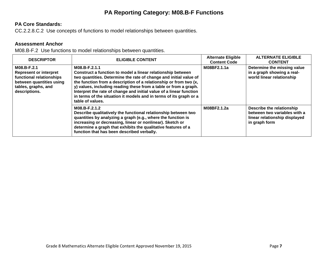# **PA Reporting Category: M08.B-F Functions**

# **PA Core Standards:**

CC.2.2.8.C.2 Use concepts of functions to model relationships between quantities.

### **Assessment Anchor**

M08.B-F.2 Use functions to model relationships between quantities.

| <b>DESCRIPTOR</b>                                                                                                                            | <b>ELIGIBLE CONTENT</b>                                                                                                                                                                                                                                                                                                                                                                                                                                     | <b>Alternate Eligible</b><br><b>Content Code</b> | <b>ALTERNATE ELIGIBLE</b><br><b>CONTENT</b>                                                                 |
|----------------------------------------------------------------------------------------------------------------------------------------------|-------------------------------------------------------------------------------------------------------------------------------------------------------------------------------------------------------------------------------------------------------------------------------------------------------------------------------------------------------------------------------------------------------------------------------------------------------------|--------------------------------------------------|-------------------------------------------------------------------------------------------------------------|
| M08.B-F.2.1<br><b>Represent or interpret</b><br>functional relationships<br>between quantities using<br>tables, graphs, and<br>descriptions. | M08.B-F.2.1.1<br>Construct a function to model a linear relationship between<br>two quantities. Determine the rate of change and initial value of<br>the function from a description of a relationship or from two (x,<br>y) values, including reading these from a table or from a graph.<br>Interpret the rate of change and initial value of a linear function<br>in terms of the situation it models and in terms of its graph or a<br>table of values. | M08BF2.1.1a                                      | Determine the missing value<br>in a graph showing a real-<br>world linear relationship                      |
|                                                                                                                                              | M08.B-F.2.1.2<br>Describe qualitatively the functional relationship between two<br>quantities by analyzing a graph (e.g., where the function is<br>increasing or decreasing, linear or nonlinear). Sketch or<br>determine a graph that exhibits the qualitative features of a<br>function that has been described verbally.                                                                                                                                 | M08BF2.1.2a                                      | Describe the relationship<br>between two variables with a<br>linear relationship displayed<br>in graph form |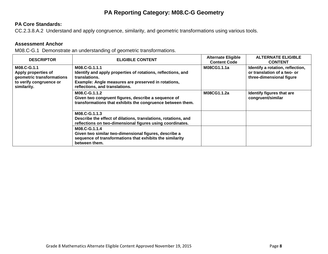# **PA Reporting Category: M08.C-G Geometry**

# **PA Core Standards:**

CC.2.3.8.A.2 Understand and apply congruence, similarity, and geometric transformations using various tools.

#### **Assessment Anchor**

M08.C-G.1 Demonstrate an understanding of geometric transformations.

| <b>DESCRIPTOR</b>                                                                                         | <b>ELIGIBLE CONTENT</b>                                                                                                                                                                 | <b>Alternate Eligible</b><br><b>Content Code</b> | <b>ALTERNATE ELIGIBLE</b><br><b>CONTENT</b>                                                 |
|-----------------------------------------------------------------------------------------------------------|-----------------------------------------------------------------------------------------------------------------------------------------------------------------------------------------|--------------------------------------------------|---------------------------------------------------------------------------------------------|
| M08.C-G.1.1<br>Apply properties of<br>geometric transformations<br>to verify congruence or<br>similarity. | M08.C-G.1.1.1<br>Identify and apply properties of rotations, reflections, and<br>translations.<br>Example: Angle measures are preserved in rotations,<br>reflections, and translations. | M08CG1.1.1a                                      | Identify a rotation, reflection,<br>or translation of a two- or<br>three-dimensional figure |
|                                                                                                           | M08.C-G.1.1.2<br>Given two congruent figures, describe a sequence of<br>transformations that exhibits the congruence between them.                                                      | M08CG1.1.2a                                      | Identify figures that are<br>congruent/similar                                              |
|                                                                                                           | M08.C-G.1.1.3<br>Describe the effect of dilations, translations, rotations, and<br>reflections on two-dimensional figures using coordinates.                                            |                                                  |                                                                                             |
|                                                                                                           | M08.C-G.1.1.4<br>Given two similar two-dimensional figures, describe a<br>sequence of transformations that exhibits the similarity<br>between them.                                     |                                                  |                                                                                             |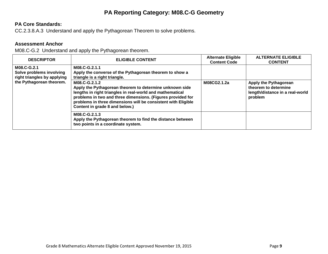# **PA Reporting Category: M08.C-G Geometry**

# **PA Core Standards:**

CC.2.3.8.A.3 Understand and apply the Pythagorean Theorem to solve problems.

### **Assessment Anchor**

M08.C-G.2 Understand and apply the Pythagorean theorem.

| <b>DESCRIPTOR</b>                                                                                  | <b>ELIGIBLE CONTENT</b>                                                                                                                                                                                                                                                                                 | <b>Alternate Eligible</b><br><b>Content Code</b> | <b>ALTERNATE ELIGIBLE</b><br><b>CONTENT</b>                                                 |
|----------------------------------------------------------------------------------------------------|---------------------------------------------------------------------------------------------------------------------------------------------------------------------------------------------------------------------------------------------------------------------------------------------------------|--------------------------------------------------|---------------------------------------------------------------------------------------------|
| M08.C-G.2.1<br>Solve problems involving<br>right triangles by applying<br>the Pythagorean theorem. | M08.C-G.2.1.1<br>Apply the converse of the Pythagorean theorem to show a<br>triangle is a right triangle.                                                                                                                                                                                               |                                                  |                                                                                             |
|                                                                                                    | M08.C-G.2.1.2<br>Apply the Pythagorean theorem to determine unknown side<br>lengths in right triangles in real-world and mathematical<br>problems in two and three dimensions. (Figures provided for<br>problems in three dimensions will be consistent with Eligible<br>Content in grade 8 and below.) | M08CG2.1.2a                                      | Apply the Pythagorean<br>theorem to determine<br>length/distance in a real-world<br>problem |
|                                                                                                    | M08.C-G.2.1.3<br>Apply the Pythagorean theorem to find the distance between<br>two points in a coordinate system.                                                                                                                                                                                       |                                                  |                                                                                             |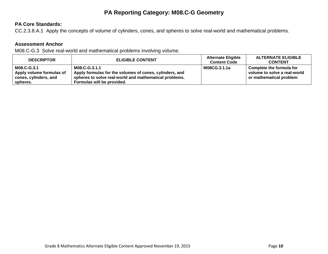# **PA Reporting Category: M08.C-G Geometry**

# **PA Core Standards:**

CC.2.3.8.A.1 Apply the concepts of volume of cylinders, cones, and spheres to solve real‐world and mathematical problems.

#### **Assessment Anchor**

M08.C-G.3 Solve real-world and mathematical problems involving volume.

| <b>DESCRIPTOR</b>        | <b>ELIGIBLE CONTENT</b>                                 | <b>Alternate Eligible</b><br><b>Content Code</b> | <b>ALTERNATE ELIGIBLE</b><br><b>CONTENT</b> |
|--------------------------|---------------------------------------------------------|--------------------------------------------------|---------------------------------------------|
| M08.C-G.3.1              | M08.C-G.3.1.1                                           | M08CG.3.1.1a                                     | Complete the formula for                    |
| Apply volume formulas of | Apply formulas for the volumes of cones, cylinders, and |                                                  | volume to solve a real-world                |
| cones, cylinders, and    | spheres to solve real-world and mathematical problems.  |                                                  | or mathematical problem                     |
| spheres.                 | Formulas will be provided.                              |                                                  |                                             |